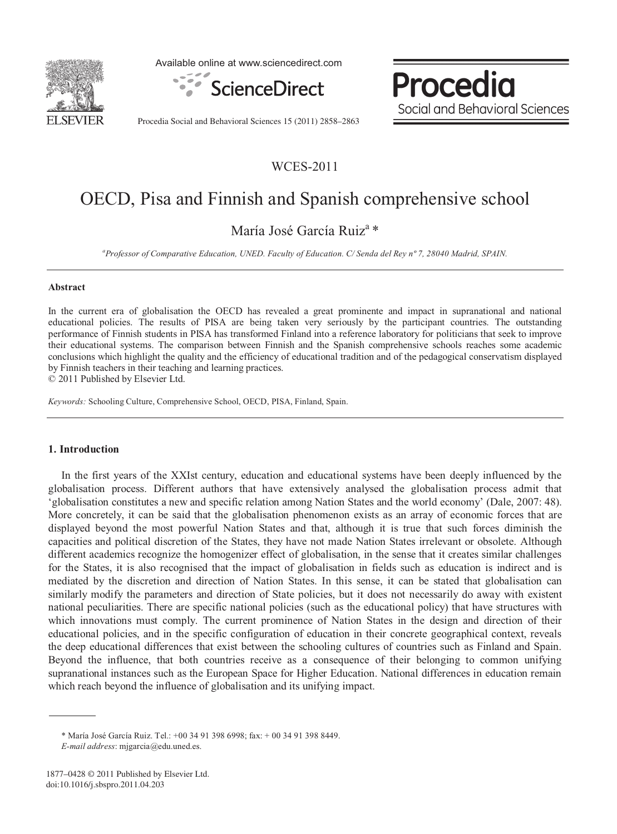

Available online at www.sciencedirect.com



Procedia Social and Behavioral Sciences

Procedia Social and Behavioral Sciences 15 (2011) 2858–2863

## WCES-2011

# OECD, Pisa and Finnish and Spanish comprehensive school

## María José García Ruiz<sup>a</sup> \*

*a Professor of Comparative Education, UNED. Faculty of Education. C/ Senda del Rey nº 7, 28040 Madrid, SPAIN.* 

#### **Abstract**

In the current era of globalisation the OECD has revealed a great prominente and impact in supranational and national educational policies. The results of PISA are being taken very seriously by the participant countries. The outstanding performance of Finnish students in PISA has transformed Finland into a reference laboratory for politicians that seek to improve their educational systems. The comparison between Finnish and the Spanish comprehensive schools reaches some academic conclusions which highlight the quality and the efficiency of educational tradition and of the pedagogical conservatism displayed by Finnish teachers in their teaching and learning practices.

© 2011 Published by Elsevier Ltd.

*Keywords:* Schooling Culture, Comprehensive School, OECD, PISA, Finland, Spain.

#### **1. Introduction**

In the first years of the XXIst century, education and educational systems have been deeply influenced by the globalisation process. Different authors that have extensively analysed the globalisation process admit that 'globalisation constitutes a new and specific relation among Nation States and the world economy' (Dale, 2007: 48). More concretely, it can be said that the globalisation phenomenon exists as an array of economic forces that are displayed beyond the most powerful Nation States and that, although it is true that such forces diminish the capacities and political discretion of the States, they have not made Nation States irrelevant or obsolete. Although different academics recognize the homogenizer effect of globalisation, in the sense that it creates similar challenges for the States, it is also recognised that the impact of globalisation in fields such as education is indirect and is mediated by the discretion and direction of Nation States. In this sense, it can be stated that globalisation can similarly modify the parameters and direction of State policies, but it does not necessarily do away with existent national peculiarities. There are specific national policies (such as the educational policy) that have structures with which innovations must comply. The current prominence of Nation States in the design and direction of their educational policies, and in the specific configuration of education in their concrete geographical context, reveals the deep educational differences that exist between the schooling cultures of countries such as Finland and Spain. Beyond the influence, that both countries receive as a consequence of their belonging to common unifying supranational instances such as the European Space for Higher Education. National differences in education remain which reach beyond the influence of globalisation and its unifying impact.

<sup>\*</sup> María José García Ruiz. Tel.: +00 34 91 398 6998; fax: + 00 34 91 398 8449.

*E-mail address*: mjgarcia@edu.uned.es.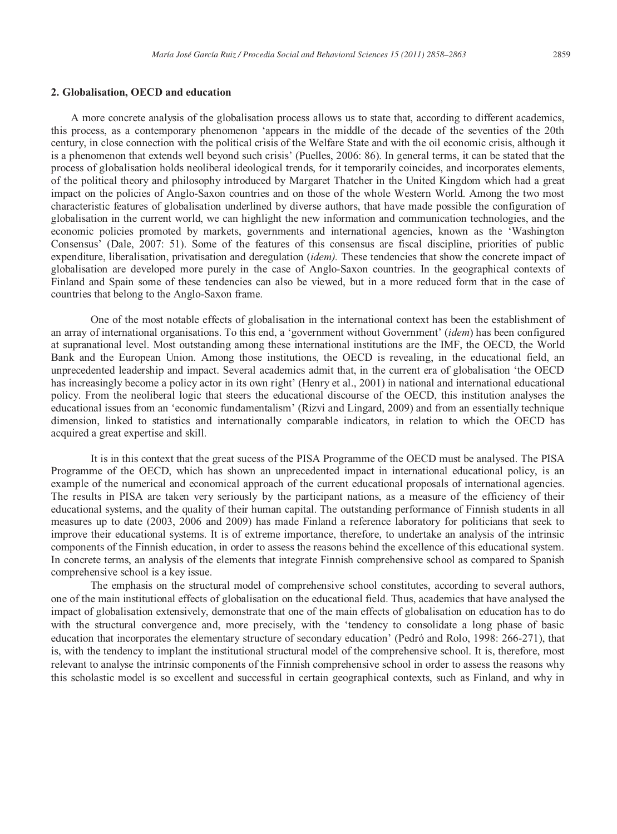#### **2. Globalisation, OECD and education**

A more concrete analysis of the globalisation process allows us to state that, according to different academics, this process, as a contemporary phenomenon 'appears in the middle of the decade of the seventies of the 20th century, in close connection with the political crisis of the Welfare State and with the oil economic crisis, although it is a phenomenon that extends well beyond such crisis' (Puelles, 2006: 86). In general terms, it can be stated that the process of globalisation holds neoliberal ideological trends, for it temporarily coincides, and incorporates elements, of the political theory and philosophy introduced by Margaret Thatcher in the United Kingdom which had a great impact on the policies of Anglo-Saxon countries and on those of the whole Western World. Among the two most characteristic features of globalisation underlined by diverse authors, that have made possible the configuration of globalisation in the current world, we can highlight the new information and communication technologies, and the economic policies promoted by markets, governments and international agencies, known as the 'Washington Consensus' (Dale, 2007: 51). Some of the features of this consensus are fiscal discipline, priorities of public expenditure, liberalisation, privatisation and deregulation (*idem).* These tendencies that show the concrete impact of globalisation are developed more purely in the case of Anglo-Saxon countries. In the geographical contexts of Finland and Spain some of these tendencies can also be viewed, but in a more reduced form that in the case of countries that belong to the Anglo-Saxon frame.

One of the most notable effects of globalisation in the international context has been the establishment of an array of international organisations. To this end, a 'government without Government' (*idem*) has been configured at supranational level. Most outstanding among these international institutions are the IMF, the OECD, the World Bank and the European Union. Among those institutions, the OECD is revealing, in the educational field, an unprecedented leadership and impact. Several academics admit that, in the current era of globalisation 'the OECD has increasingly become a policy actor in its own right' (Henry et al., 2001) in national and international educational policy. From the neoliberal logic that steers the educational discourse of the OECD, this institution analyses the educational issues from an 'economic fundamentalism' (Rizvi and Lingard, 2009) and from an essentially technique dimension, linked to statistics and internationally comparable indicators, in relation to which the OECD has acquired a great expertise and skill.

It is in this context that the great sucess of the PISA Programme of the OECD must be analysed. The PISA Programme of the OECD, which has shown an unprecedented impact in international educational policy, is an example of the numerical and economical approach of the current educational proposals of international agencies. The results in PISA are taken very seriously by the participant nations, as a measure of the efficiency of their educational systems, and the quality of their human capital. The outstanding performance of Finnish students in all measures up to date (2003, 2006 and 2009) has made Finland a reference laboratory for politicians that seek to improve their educational systems. It is of extreme importance, therefore, to undertake an analysis of the intrinsic components of the Finnish education, in order to assess the reasons behind the excellence of this educational system. In concrete terms, an analysis of the elements that integrate Finnish comprehensive school as compared to Spanish comprehensive school is a key issue.

The emphasis on the structural model of comprehensive school constitutes, according to several authors, one of the main institutional effects of globalisation on the educational field. Thus, academics that have analysed the impact of globalisation extensively, demonstrate that one of the main effects of globalisation on education has to do with the structural convergence and, more precisely, with the 'tendency to consolidate a long phase of basic education that incorporates the elementary structure of secondary education' (Pedró and Rolo, 1998: 266-271), that is, with the tendency to implant the institutional structural model of the comprehensive school. It is, therefore, most relevant to analyse the intrinsic components of the Finnish comprehensive school in order to assess the reasons why this scholastic model is so excellent and successful in certain geographical contexts, such as Finland, and why in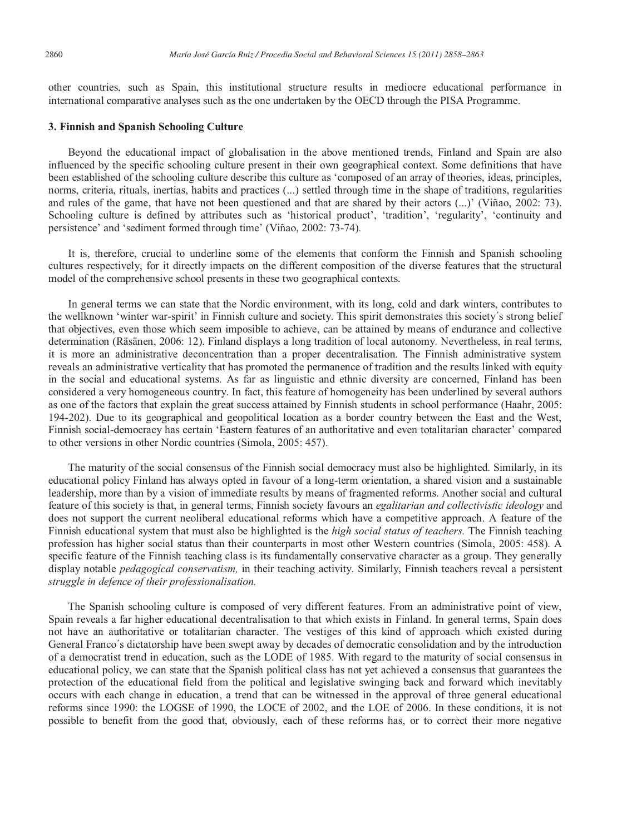other countries, such as Spain, this institutional structure results in mediocre educational performance in international comparative analyses such as the one undertaken by the OECD through the PISA Programme.

#### **3. Finnish and Spanish Schooling Culture**

Beyond the educational impact of globalisation in the above mentioned trends, Finland and Spain are also influenced by the specific schooling culture present in their own geographical context. Some definitions that have been established of the schooling culture describe this culture as 'composed of an array of theories, ideas, principles, norms, criteria, rituals, inertias, habits and practices (...) settled through time in the shape of traditions, regularities and rules of the game, that have not been questioned and that are shared by their actors (...)' (Viñao, 2002: 73). Schooling culture is defined by attributes such as 'historical product', 'tradition', 'regularity', 'continuity and persistence' and 'sediment formed through time' (Viñao, 2002: 73-74).

It is, therefore, crucial to underline some of the elements that conform the Finnish and Spanish schooling cultures respectively, for it directly impacts on the different composition of the diverse features that the structural model of the comprehensive school presents in these two geographical contexts.

In general terms we can state that the Nordic environment, with its long, cold and dark winters, contributes to the wellknown 'winter war-spirit' in Finnish culture and society. This spirit demonstrates this society´s strong belief that objectives, even those which seem imposible to achieve, can be attained by means of endurance and collective determination (Räsänen, 2006: 12). Finland displays a long tradition of local autonomy. Nevertheless, in real terms, it is more an administrative deconcentration than a proper decentralisation. The Finnish administrative system reveals an administrative verticality that has promoted the permanence of tradition and the results linked with equity in the social and educational systems. As far as linguistic and ethnic diversity are concerned, Finland has been considered a very homogeneous country. In fact, this feature of homogeneity has been underlined by several authors as one of the factors that explain the great success attained by Finnish students in school performance (Haahr, 2005: 194-202). Due to its geographical and geopolitical location as a border country between the East and the West, Finnish social-democracy has certain 'Eastern features of an authoritative and even totalitarian character' compared to other versions in other Nordic countries (Simola, 2005: 457).

The maturity of the social consensus of the Finnish social democracy must also be highlighted. Similarly, in its educational policy Finland has always opted in favour of a long-term orientation, a shared vision and a sustainable leadership, more than by a vision of immediate results by means of fragmented reforms. Another social and cultural feature of this society is that, in general terms, Finnish society favours an *egalitarian and collectivistic ideology* and does not support the current neoliberal educational reforms which have a competitive approach. A feature of the Finnish educational system that must also be highlighted is the *high social status of teachers.* The Finnish teaching profession has higher social status than their counterparts in most other Western countries (Simola, 2005: 458). A specific feature of the Finnish teaching class is its fundamentally conservative character as a group. They generally display notable *pedagogícal conservatism,* in their teaching activity. Similarly, Finnish teachers reveal a persistent *struggle in defence of their professionalisation.* 

The Spanish schooling culture is composed of very different features. From an administrative point of view, Spain reveals a far higher educational decentralisation to that which exists in Finland. In general terms, Spain does not have an authoritative or totalitarian character. The vestiges of this kind of approach which existed during General Franco´s dictatorship have been swept away by decades of democratic consolidation and by the introduction of a democratist trend in education, such as the LODE of 1985. With regard to the maturity of social consensus in educational policy, we can state that the Spanish political class has not yet achieved a consensus that guarantees the protection of the educational field from the political and legislative swinging back and forward which inevitably occurs with each change in education, a trend that can be witnessed in the approval of three general educational reforms since 1990: the LOGSE of 1990, the LOCE of 2002, and the LOE of 2006. In these conditions, it is not possible to benefit from the good that, obviously, each of these reforms has, or to correct their more negative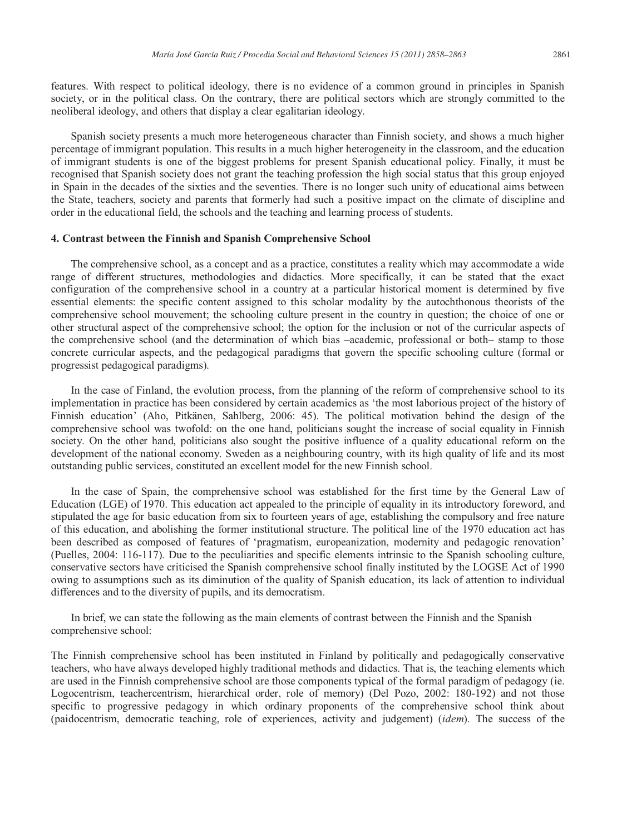features. With respect to political ideology, there is no evidence of a common ground in principles in Spanish society, or in the political class. On the contrary, there are political sectors which are strongly committed to the neoliberal ideology, and others that display a clear egalitarian ideology.

Spanish society presents a much more heterogeneous character than Finnish society, and shows a much higher percentage of immigrant population. This results in a much higher heterogeneity in the classroom, and the education of immigrant students is one of the biggest problems for present Spanish educational policy. Finally, it must be recognised that Spanish society does not grant the teaching profession the high social status that this group enjoyed in Spain in the decades of the sixties and the seventies. There is no longer such unity of educational aims between the State, teachers, society and parents that formerly had such a positive impact on the climate of discipline and order in the educational field, the schools and the teaching and learning process of students.

#### **4. Contrast between the Finnish and Spanish Comprehensive School**

The comprehensive school, as a concept and as a practice, constitutes a reality which may accommodate a wide range of different structures, methodologies and didactics. More specifically, it can be stated that the exact configuration of the comprehensive school in a country at a particular historical moment is determined by five essential elements: the specific content assigned to this scholar modality by the autochthonous theorists of the comprehensive school mouvement; the schooling culture present in the country in question; the choice of one or other structural aspect of the comprehensive school; the option for the inclusion or not of the curricular aspects of the comprehensive school (and the determination of which bias –academic, professional or both– stamp to those concrete curricular aspects, and the pedagogical paradigms that govern the specific schooling culture (formal or progressist pedagogical paradigms).

In the case of Finland, the evolution process, from the planning of the reform of comprehensive school to its implementation in practice has been considered by certain academics as 'the most laborious project of the history of Finnish education' (Aho, Pitkänen, Sahlberg, 2006: 45). The political motivation behind the design of the comprehensive school was twofold: on the one hand, politicians sought the increase of social equality in Finnish society. On the other hand, politicians also sought the positive influence of a quality educational reform on the development of the national economy. Sweden as a neighbouring country, with its high quality of life and its most outstanding public services, constituted an excellent model for the new Finnish school.

In the case of Spain, the comprehensive school was established for the first time by the General Law of Education (LGE) of 1970. This education act appealed to the principle of equality in its introductory foreword, and stipulated the age for basic education from six to fourteen years of age, establishing the compulsory and free nature of this education, and abolishing the former institutional structure. The political line of the 1970 education act has been described as composed of features of 'pragmatism, europeanization, modernity and pedagogic renovation' (Puelles, 2004: 116-117). Due to the peculiarities and specific elements intrinsic to the Spanish schooling culture, conservative sectors have criticised the Spanish comprehensive school finally instituted by the LOGSE Act of 1990 owing to assumptions such as its diminution of the quality of Spanish education, its lack of attention to individual differences and to the diversity of pupils, and its democratism.

In brief, we can state the following as the main elements of contrast between the Finnish and the Spanish comprehensive school:

The Finnish comprehensive school has been instituted in Finland by politically and pedagogically conservative teachers, who have always developed highly traditional methods and didactics. That is, the teaching elements which are used in the Finnish comprehensive school are those components typical of the formal paradigm of pedagogy (ie. Logocentrism, teachercentrism, hierarchical order, role of memory) (Del Pozo, 2002: 180-192) and not those specific to progressive pedagogy in which ordinary proponents of the comprehensive school think about (paidocentrism, democratic teaching, role of experiences, activity and judgement) (*idem*). The success of the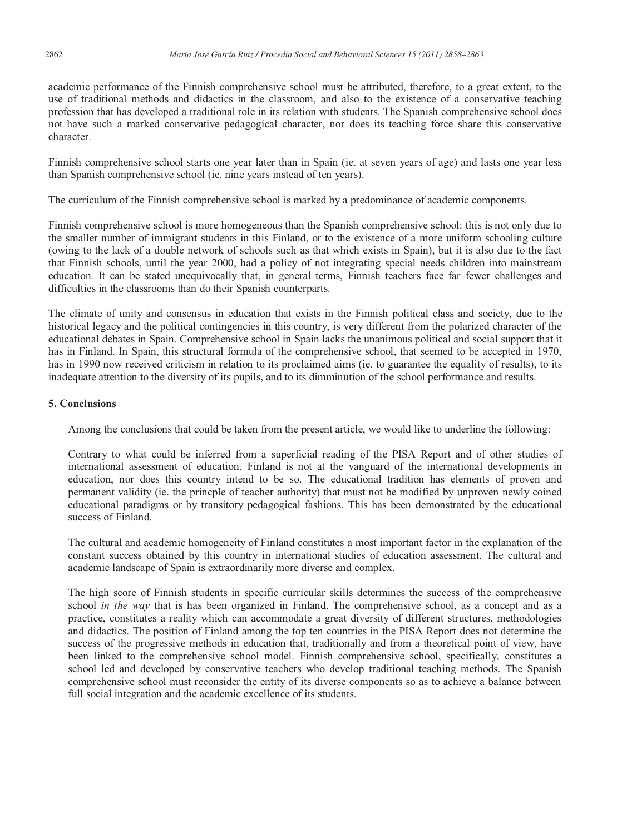academic performance of the Finnish comprehensive school must be attributed, therefore, to a great extent, to the use of traditional methods and didactics in the classroom, and also to the existence of a conservative teaching profession that has developed a traditional role in its relation with students. The Spanish comprehensive school does not have such a marked conservative pedagogical character, nor does its teaching force share this conservative character.

Finnish comprehensive school starts one year later than in Spain (ie. at seven years of age) and lasts one year less than Spanish comprehensive school (ie. nine years instead of ten years).

The curriculum of the Finnish comprehensive school is marked by a predominance of academic components.

Finnish comprehensive school is more homogeneous than the Spanish comprehensive school: this is not only due to the smaller number of immigrant students in this Finland, or to the existence of a more uniform schooling culture (owing to the lack of a double network of schools such as that which exists in Spain), but it is also due to the fact that Finnish schools, until the year 2000, had a policy of not integrating special needs children into mainstream education. It can be stated unequivocally that, in general terms, Finnish teachers face far fewer challenges and difficulties in the classrooms than do their Spanish counterparts.

The climate of unity and consensus in education that exists in the Finnish political class and society, due to the historical legacy and the political contingencies in this country, is very different from the polarized character of the educational debates in Spain. Comprehensive school in Spain lacks the unanimous political and social support that it has in Finland. In Spain, this structural formula of the comprehensive school, that seemed to be accepted in 1970, has in 1990 now received criticism in relation to its proclaimed aims (ie. to guarantee the equality of results), to its inadequate attention to the diversity of its pupils, and to its dimminution of the school performance and results.

### **5. Conclusions**

Among the conclusions that could be taken from the present article, we would like to underline the following:

Contrary to what could be inferred from a superficial reading of the PISA Report and of other studies of international assessment of education, Finland is not at the vanguard of the international developments in education, nor does this country intend to be so. The educational tradition has elements of proven and permanent validity (ie. the princple of teacher authority) that must not be modified by unproven newly coined educational paradigms or by transitory pedagogical fashions. This has been demonstrated by the educational success of Finland.

The cultural and academic homogeneity of Finland constitutes a most important factor in the explanation of the constant success obtained by this country in international studies of education assessment. The cultural and academic landscape of Spain is extraordinarily more diverse and complex.

The high score of Finnish students in specific curricular skills determines the success of the comprehensive school *in the way* that is has been organized in Finland. The comprehensive school, as a concept and as a practice, constitutes a reality which can accommodate a great diversity of different structures, methodologies and didactics. The position of Finland among the top ten countries in the PISA Report does not determine the success of the progressive methods in education that, traditionally and from a theoretical point of view, have been linked to the comprehensive school model. Finnish comprehensive school, specifically, constitutes a school led and developed by conservative teachers who develop traditional teaching methods. The Spanish comprehensive school must reconsider the entity of its diverse components so as to achieve a balance between full social integration and the academic excellence of its students.